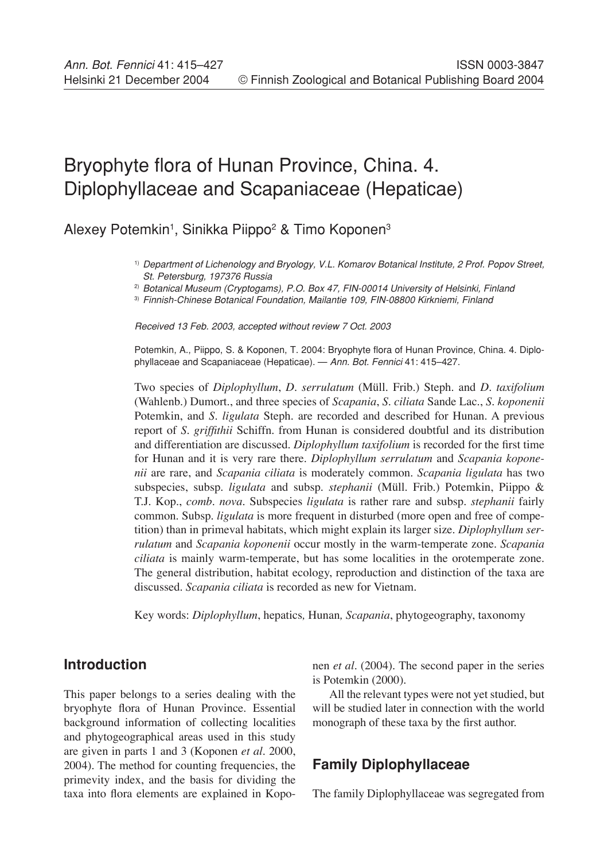# Bryophyte flora of Hunan Province, China. 4. Diplophyllaceae and Scapaniaceae (Hepaticae)

Alexey Potemkin<sup>1</sup>, Sinikka Piippo<sup>2</sup> & Timo Koponen<sup>3</sup>

<sup>1)</sup> Department of Lichenology and Bryology, V.L. Komarov Botanical Institute, 2 Prof. Popov Street, St. Petersburg, 197376 Russia

<sup>2)</sup> Botanical Museum (Cryptogams), P.O. Box 47, FIN-00014 University of Helsinki, Finland

3) Finnish-Chinese Botanical Foundation, Mailantie 109, FIN-08800 Kirkniemi, Finland

Received 13 Feb. 2003, accepted without review 7 Oct. 2003

Potemkin, A., Piippo, S. & Koponen, T. 2004: Bryophyte flora of Hunan Province, China. 4. Diplophyllaceae and Scapaniaceae (Hepaticae). — Ann. Bot. Fennici 41: 415–427.

Two species of *Diplophyllum*, *D. serrulatum* (Müll. Frib.) Steph. and *D. taxifolium*  (Wahlenb.) Dumort., and three species of *Scapania*, *S. ciliata* Sande Lac., *S. koponenii* Potemkin, and *S. ligulata* Steph. are recorded and described for Hunan. A previous report of *S. griffithii* Schiffn. from Hunan is considered doubtful and its distribution and differentiation are discussed. *Diplophyllum taxifolium* is recorded for the first time for Hunan and it is very rare there. *Diplophyllum serrulatum* and *Scapania koponenii* are rare, and *Scapania ciliata* is moderately common. *Scapania ligulata* has two subspecies, subsp. *ligulata* and subsp. *stephanii* (Müll. Frib.) Potemkin, Piippo & T.J. Kop., *comb. nova.* Subspecies *ligulata* is rather rare and subsp. *stephanii* fairly common. Subsp. *ligulata* is more frequent in disturbed (more open and free of competition) than in primeval habitats, which might explain its larger size. *Diplophyllum serrulatum* and *Scapania koponenii* occur mostly in the warm-temperate zone. *Scapania ciliata* is mainly warm-temperate, but has some localities in the orotemperate zone. The general distribution, habitat ecology, reproduction and distinction of the taxa are discussed. *Scapania ciliata* is recorded as new for Vietnam.

Key words: *Diplophyllum*, hepatics*,* Hunan*, Scapania*, phytogeography, taxonomy

# **Introduction**

This paper belongs to a series dealing with the bryophyte flora of Hunan Province. Essential background information of collecting localities and phytogeographical areas used in this study are given in parts 1 and 3 (Koponen *et al*. 2000, 2004). The method for counting frequencies, the primevity index, and the basis for dividing the taxa into flora elements are explained in Koponen *et al.* (2004)*.* The second paper in the series is Potemkin (2000).

All the relevant types were not yet studied, but will be studied later in connection with the world monograph of these taxa by the first author.

# **Family Diplophyllaceae**

The family Diplophyllaceae was segregated from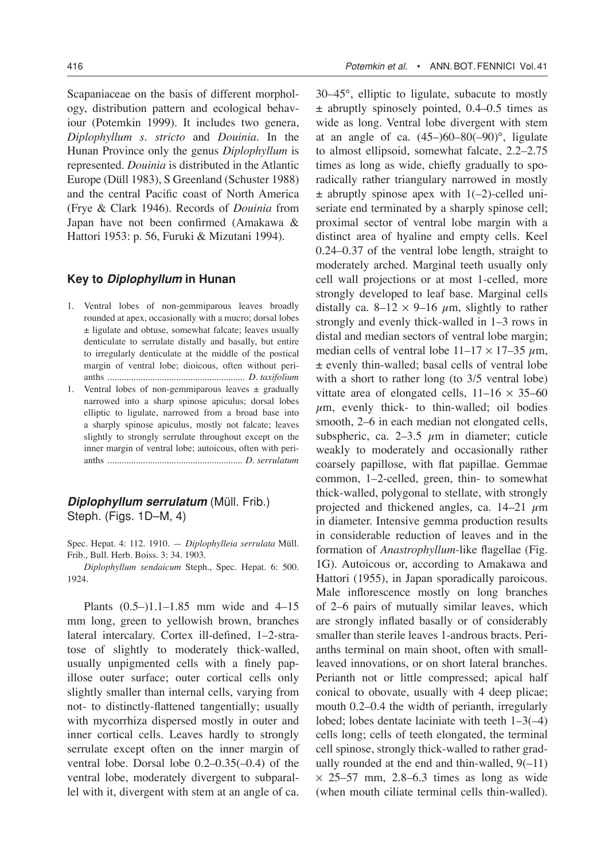Scapaniaceae on the basis of different morphology, distribution pattern and ecological behaviour (Potemkin 1999). It includes two genera, *Diplophyllum s. stricto* and *Douinia*. In the Hunan Province only the genus *Diplophyllum* is represented. *Douinia* is distributed in the Atlantic Europe (Düll 1983), S Greenland (Schuster 1988) and the central Pacific coast of North America (Frye & Clark 1946). Records of *Douinia* from Japan have not been confirmed (Amakawa & Hattori 1953: p. 56, Furuki & Mizutani 1994).

#### **Key to Diplophyllum in Hunan**

- 1. Ventral lobes of non-gemmiparous leaves broadly rounded at apex, occasionally with a mucro; dorsal lobes ± ligulate and obtuse, somewhat falcate; leaves usually denticulate to serrulate distally and basally, but entire to irregularly denticulate at the middle of the postical margin of ventral lobe; dioicous, often without perianths .......................................................... *D. taxifolium*
- 1. Ventral lobes of non-gemmiparous leaves  $\pm$  gradually narrowed into a sharp spinose apiculus; dorsal lobes elliptic to ligulate, narrowed from a broad base into a sharply spinose apiculus, mostly not falcate; leaves slightly to strongly serrulate throughout except on the inner margin of ventral lobe; autoicous, often with perianths ......................................................... *D. serrulatum*

**Diplophyllum serrulatum** (Müll. Frib.) Steph. (Figs. 1D–M, 4)

Spec. Hepat. 4: 112. 1910. — *Diplophylleia serrulata* Müll. Frib., Bull. Herb. Boiss. 3: 34. 1903.

*Diplophyllum sendaicum* Steph., Spec. Hepat. 6: 500. 1924.

Plants (0.5–)1.1–1.85 mm wide and 4–15 mm long, green to yellowish brown, branches lateral intercalary. Cortex ill-defined, 1–2-stratose of slightly to moderately thick-walled, usually unpigmented cells with a finely papillose outer surface; outer cortical cells only slightly smaller than internal cells, varying from not- to distinctly-flattened tangentially; usually with mycorrhiza dispersed mostly in outer and inner cortical cells. Leaves hardly to strongly serrulate except often on the inner margin of ventral lobe. Dorsal lobe 0.2–0.35(–0.4) of the ventral lobe, moderately divergent to subparallel with it, divergent with stem at an angle of ca.

30–45°, elliptic to ligulate, subacute to mostly ± abruptly spinosely pointed, 0.4–0.5 times as wide as long. Ventral lobe divergent with stem at an angle of ca.  $(45–)60–80(-90)$ °, ligulate to almost ellipsoid, somewhat falcate, 2.2–2.75 times as long as wide, chiefly gradually to sporadically rather triangulary narrowed in mostly  $\pm$  abruptly spinose apex with 1(-2)-celled uniseriate end terminated by a sharply spinose cell; proximal sector of ventral lobe margin with a distinct area of hyaline and empty cells. Keel 0.24–0.37 of the ventral lobe length, straight to moderately arched. Marginal teeth usually only cell wall projections or at most 1-celled, more strongly developed to leaf base. Marginal cells distally ca. 8–12  $\times$  9–16  $\mu$ m, slightly to rather strongly and evenly thick-walled in 1–3 rows in distal and median sectors of ventral lobe margin; median cells of ventral lobe  $11-17 \times 17-35 \mu m$ , ± evenly thin-walled; basal cells of ventral lobe with a short to rather long (to  $3/5$  ventral lobe) vittate area of elongated cells,  $11-16 \times 35-60$  $\mu$ m, evenly thick- to thin-walled; oil bodies smooth, 2–6 in each median not elongated cells, subspheric, ca. 2–3.5  $\mu$ m in diameter; cuticle weakly to moderately and occasionally rather coarsely papillose, with flat papillae. Gemmae common, 1–2-celled, green, thin- to somewhat thick-walled, polygonal to stellate, with strongly projected and thickened angles, ca.  $14-21 \mu m$ in diameter. Intensive gemma production results in considerable reduction of leaves and in the formation of *Anastrophyllum-*like flagellae (Fig. 1G). Autoicous or, according to Amakawa and Hattori (1955), in Japan sporadically paroicous. Male inflorescence mostly on long branches of 2–6 pairs of mutually similar leaves, which are strongly inflated basally or of considerably smaller than sterile leaves 1-androus bracts. Perianths terminal on main shoot, often with smallleaved innovations, or on short lateral branches. Perianth not or little compressed; apical half conical to obovate, usually with 4 deep plicae; mouth 0.2–0.4 the width of perianth, irregularly lobed; lobes dentate laciniate with teeth 1–3(–4) cells long; cells of teeth elongated, the terminal cell spinose, strongly thick-walled to rather gradually rounded at the end and thin-walled,  $9(-11)$  $\times$  25–57 mm, 2.8–6.3 times as long as wide (when mouth ciliate terminal cells thin-walled).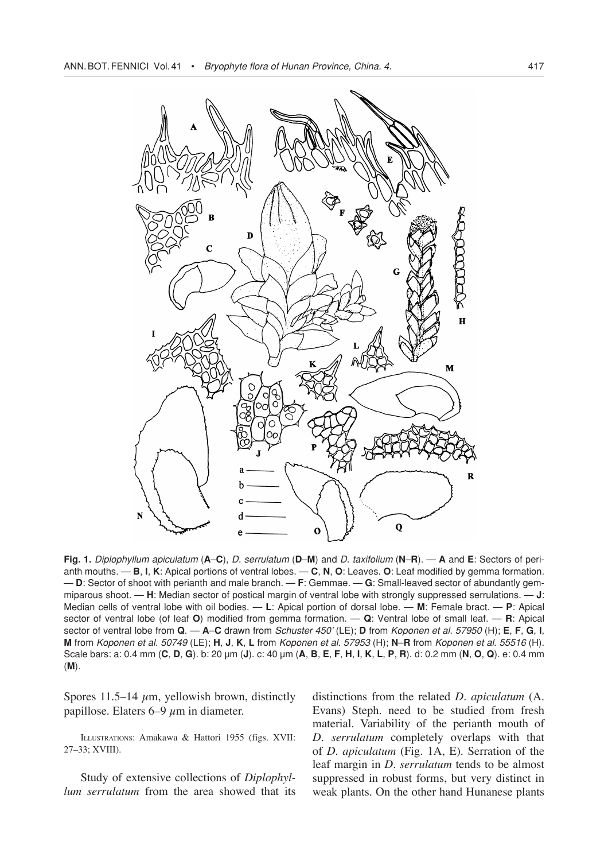

**Fig. 1.** Diplophyllum apiculatum (**A**–**C**), D. serrulatum (**D**–**M**) and D. taxifolium (**N**–**R**). — **A** and **E**: Sectors of perianth mouths. — **B**, **I**, **K**: Apical portions of ventral lobes. — **C**, **N**, **O**: Leaves. **O**: Leaf modified by gemma formation. — **D**: Sector of shoot with perianth and male branch. — **F**: Gemmae. — **G**: Small-leaved sector of abundantly gemmiparous shoot. — **H**: Median sector of postical margin of ventral lobe with strongly suppressed serrulations. — **J**: Median cells of ventral lobe with oil bodies. — **L**: Apical portion of dorsal lobe. — **M**: Female bract. — **P**: Apical sector of ventral lobe (of leaf **O**) modified from gemma formation. — **Q**: Ventral lobe of small leaf. — **R**: Apical sector of ventral lobe from **Q**. — **A**–**C** drawn from Schuster 450' (LE); **D** from Koponen et al. 57950 (H); **E**, **F**, **G**, **I**, **M** from Koponen et al. 50749 (LE); **H**, **J**, **K**, **L** from Koponen et al. 57953 (H); **N**–**R** from Koponen et al. 55516 (H). Scale bars: a: 0.4 mm (C, D, G). b: 20 µm (J). c: 40 µm (A, B, E, F, H, I, K, L, P, R). d: 0.2 mm (N, O, Q). e: 0.4 mm (**M**).

Spores 11.5–14  $\mu$ m, yellowish brown, distinctly papillose. Elaters  $6-9 \mu m$  in diameter.

ILLUSTRATIONS: Amakawa & Hattori 1955 (figs. XVII: 27–33; XVIII).

Study of extensive collections of *Diplophyllum serrulatum* from the area showed that its distinctions from the related *D. apiculatum* (A. Evans) Steph. need to be studied from fresh material. Variability of the perianth mouth of *D. serrulatum* completely overlaps with that of *D. apiculatum* (Fig. 1A, E)*.* Serration of the leaf margin in *D. serrulatum* tends to be almost suppressed in robust forms, but very distinct in weak plants. On the other hand Hunanese plants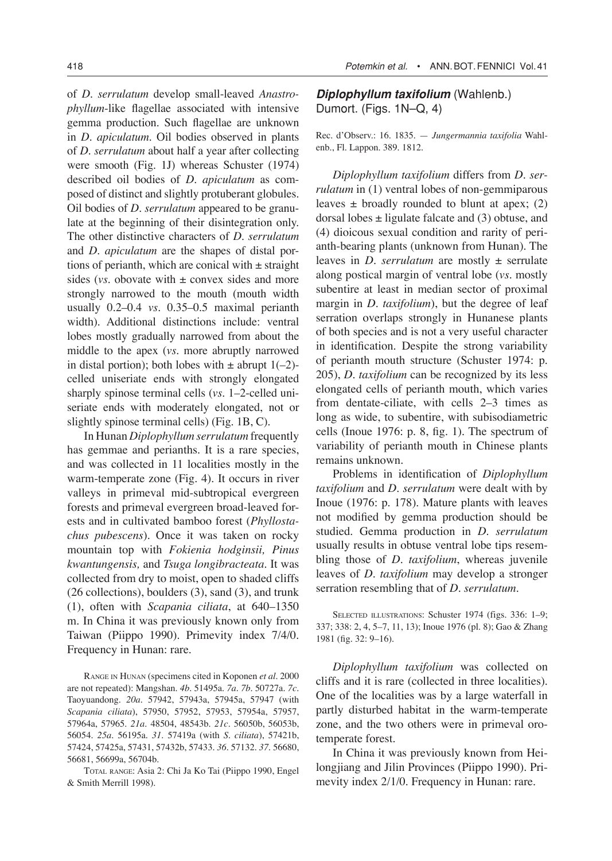of *D. serrulatum* develop small-leaved *Anastrophyllum*-like flagellae associated with intensive gemma production. Such flagellae are unknown in *D. apiculatum.* Oil bodies observed in plants of *D. serrulatum* about half a year after collecting were smooth (Fig. 1J) whereas Schuster (1974) described oil bodies of *D. apiculatum* as composed of distinct and slightly protuberant globules. Oil bodies of *D. serrulatum* appeared to be granulate at the beginning of their disintegration only. The other distinctive characters of *D. serrulatum* and *D. apiculatum* are the shapes of distal portions of perianth, which are conical with  $\pm$  straight sides (*vs.* obovate with  $\pm$  convex sides and more strongly narrowed to the mouth (mouth width usually 0.2–0.4 *vs.* 0.35–0.5 maximal perianth width). Additional distinctions include: ventral lobes mostly gradually narrowed from about the middle to the apex (*vs.* more abruptly narrowed in distal portion); both lobes with  $\pm$  abrupt 1(-2)celled uniseriate ends with strongly elongated sharply spinose terminal cells (*vs.* 1–2-celled uniseriate ends with moderately elongated, not or slightly spinose terminal cells) (Fig. 1B, C).

In Hunan *Diplophyllum serrulatum* frequently has gemmae and perianths. It is a rare species, and was collected in 11 localities mostly in the warm-temperate zone (Fig. 4). It occurs in river valleys in primeval mid-subtropical evergreen forests and primeval evergreen broad-leaved forests and in cultivated bamboo forest (*Phyllostachus pubescens*). Once it was taken on rocky mountain top with *Fokienia hodginsii, Pinus kwantungensis,* and *Tsuga longibracteata*. It was collected from dry to moist, open to shaded cliffs (26 collections), boulders (3), sand (3), and trunk (1), often with *Scapania ciliata*, at 640–1350 m. In China it was previously known only from Taiwan (Piippo 1990). Primevity index 7/4/0. Frequency in Hunan: rare.

RANGE IN HUNAN (specimens cited in Koponen *et al*. 2000 are not repeated): Mangshan. *4b*. 51495a. *7a*. *7b*. 50727a. *7c.* Taoyuandong. *20a.* 57942, 57943a, 57945a, 57947 (with *Scapania ciliata*), 57950, 57952, 57953, 57954a, 57957, 57964a, 57965. *21a.* 48504, 48543b. *21c*. 56050b, 56053b, 56054. *25a*. 56195a. *31*. 57419a (with *S. ciliata*), 57421b, 57424, 57425a, 57431, 57432b, 57433. *36*. 57132. *37*. 56680, 56681, 56699a, 56704b.

TOTAL RANGE: Asia 2: Chi Ja Ko Tai (Piippo 1990, Engel & Smith Merrill 1998).

**Diplophyllum taxifolium** (Wahlenb.) Dumort. (Figs. 1N–Q, 4)

Rec. d'Observ.: 16. 1835. — *Jungermannia taxifolia* Wahlenb., Fl. Lappon. 389. 1812.

*Diplophyllum taxifolium* differs from *D. serrulatum* in (1) ventral lobes of non-gemmiparous leaves  $\pm$  broadly rounded to blunt at apex; (2) dorsal lobes  $\pm$  ligulate falcate and (3) obtuse, and (4) dioicous sexual condition and rarity of perianth-bearing plants (unknown from Hunan). The leaves in *D. serrulatum* are mostly ± serrulate along postical margin of ventral lobe (*vs.* mostly subentire at least in median sector of proximal margin in *D. taxifolium*), but the degree of leaf serration overlaps strongly in Hunanese plants of both species and is not a very useful character in identification. Despite the strong variability of perianth mouth structure (Schuster 1974: p. 205), *D. taxifolium* can be recognized by its less elongated cells of perianth mouth, which varies from dentate-ciliate, with cells 2–3 times as long as wide, to subentire, with subisodiametric cells (Inoue 1976: p. 8, fig. 1). The spectrum of variability of perianth mouth in Chinese plants remains unknown.

Problems in identification of *Diplophyllum taxifolium* and *D. serrulatum* were dealt with by Inoue (1976: p. 178). Mature plants with leaves not modified by gemma production should be studied. Gemma production in *D. serrulatum*  usually results in obtuse ventral lobe tips resembling those of *D. taxifolium*, whereas juvenile leaves of *D. taxifolium* may develop a stronger serration resembling that of *D. serrulatum.*

SELECTED ILLUSTRATIONS: Schuster 1974 (figs. 336: 1-9; 337; 338: 2, 4, 5–7, 11, 13); Inoue 1976 (pl. 8); Gao & Zhang 1981 (fig. 32: 9–16).

*Diplophyllum taxifolium* was collected on cliffs and it is rare (collected in three localities). One of the localities was by a large waterfall in partly disturbed habitat in the warm-temperate zone, and the two others were in primeval orotemperate forest.

In China it was previously known from Heilongjiang and Jilin Provinces (Piippo 1990). Primevity index 2/1/0. Frequency in Hunan: rare.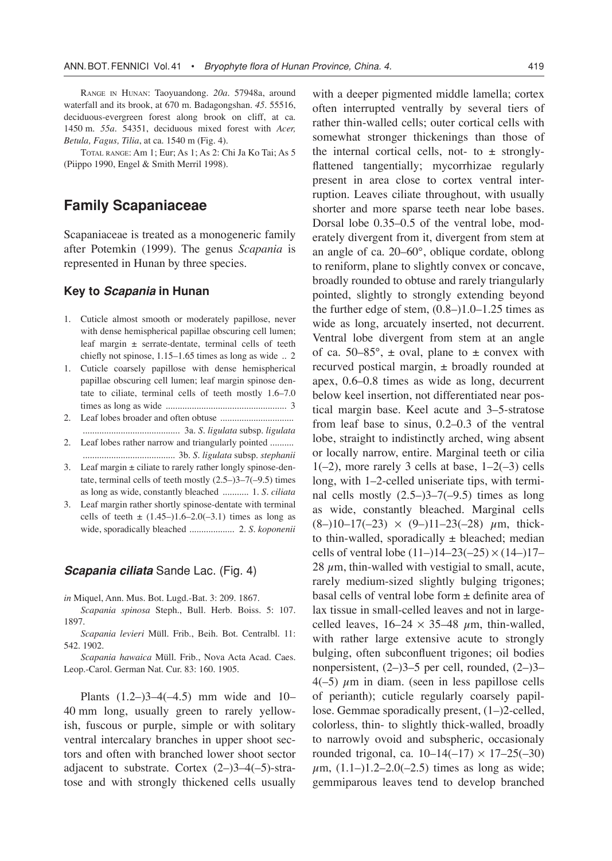RANGE IN HUNAN: Taoyuandong. *20a.* 57948a, around waterfall and its brook, at 670 m. Badagongshan. *45*. 55516, deciduous-evergreen forest along brook on cliff, at ca. 1450 m. *55a*. 54351, deciduous mixed forest with *Acer, Betula, Fagus, Tilia*, at ca. 1540 m (Fig. 4).

TOTAL RANGE: Am 1; Eur; As 1; As 2: Chi Ja Ko Tai; As 5 (Piippo 1990, Engel & Smith Merril 1998).

# **Family Scapaniaceae**

Scapaniaceae is treated as a monogeneric family after Potemkin (1999). The genus *Scapania* is represented in Hunan by three species.

#### **Key to Scapania in Hunan**

- 1. Cuticle almost smooth or moderately papillose, never with dense hemispherical papillae obscuring cell lumen; leaf margin ± serrate-dentate, terminal cells of teeth chiefly not spinose, 1.15–1.65 times as long as wide .. 2
- 1. Cuticle coarsely papillose with dense hemispherical papillae obscuring cell lumen; leaf margin spinose dentate to ciliate, terminal cells of teeth mostly 1.6–7.0 times as long as wide ................................................... 3
- 2. Leaf lobes broader and often obtuse ............................... ......................................... 3a. *S. ligulata* subsp. *ligulata*
- 2. Leaf lobes rather narrow and triangularly pointed .......... ....................................... 3b. *S. ligulata* subsp. *stephanii*
- 3. Leaf margin  $\pm$  ciliate to rarely rather longly spinose-dentate, terminal cells of teeth mostly (2.5–)3–7(–9.5) times as long as wide, constantly bleached ........... 1. *S. ciliata*
- 3. Leaf margin rather shortly spinose-dentate with terminal cells of teeth  $\pm$  (1.45–)1.6–2.0(–3.1) times as long as wide, sporadically bleached ................... 2. *S. koponenii*

#### **Scapania ciliata** Sande Lac. (Fig. 4)

*in* Miquel, Ann. Mus. Bot. Lugd.-Bat. 3: 209. 1867.

*Scapania spinosa* Steph., Bull. Herb. Boiss. 5: 107. 1897.

*Scapania levieri* Müll. Frib., Beih. Bot. Centralbl. 11: 542. 1902.

*Scapania hawaica* Müll. Frib., Nova Acta Acad. Caes. Leop.-Carol. German Nat. Cur. 83: 160. 1905.

Plants  $(1.2-)3-4(-4.5)$  mm wide and 10-40 mm long, usually green to rarely yellowish, fuscous or purple, simple or with solitary ventral intercalary branches in upper shoot sectors and often with branched lower shoot sector adjacent to substrate. Cortex  $(2-)3-4(-5)$ -stratose and with strongly thickened cells usually

with a deeper pigmented middle lamella; cortex often interrupted ventrally by several tiers of rather thin-walled cells; outer cortical cells with somewhat stronger thickenings than those of the internal cortical cells, not- to  $\pm$  stronglyflattened tangentially; mycorrhizae regularly present in area close to cortex ventral interruption. Leaves ciliate throughout, with usually shorter and more sparse teeth near lobe bases. Dorsal lobe 0.35–0.5 of the ventral lobe, moderately divergent from it, divergent from stem at an angle of ca. 20–60°, oblique cordate, oblong to reniform, plane to slightly convex or concave, broadly rounded to obtuse and rarely triangularly pointed, slightly to strongly extending beyond the further edge of stem,  $(0.8-)1.0-1.25$  times as wide as long, arcuately inserted, not decurrent. Ventral lobe divergent from stem at an angle of ca. 50–85 $^{\circ}$ ,  $\pm$  oval, plane to  $\pm$  convex with recurved postical margin, ± broadly rounded at apex, 0.6–0.8 times as wide as long, decurrent below keel insertion, not differentiated near postical margin base. Keel acute and 3–5-stratose from leaf base to sinus, 0.2–0.3 of the ventral lobe, straight to indistinctly arched, wing absent or locally narrow, entire. Marginal teeth or cilia  $1(-2)$ , more rarely 3 cells at base,  $1-2(-3)$  cells long, with 1–2-celled uniseriate tips, with terminal cells mostly  $(2.5-)3-7(-9.5)$  times as long as wide, constantly bleached. Marginal cells  $(8-)10-17(-23) \times (9-)11-23(-28) \mu m$ , thickto thin-walled, sporadically  $\pm$  bleached; median cells of ventral lobe  $(11–)14–23(-25) \times (14–)17–$ 28  $\mu$ m, thin-walled with vestigial to small, acute, rarely medium-sized slightly bulging trigones; basal cells of ventral lobe form ± definite area of lax tissue in small-celled leaves and not in largecelled leaves,  $16-24 \times 35-48 \mu m$ , thin-walled, with rather large extensive acute to strongly bulging, often subconfluent trigones; oil bodies nonpersistent,  $(2-)3-5$  per cell, rounded,  $(2-)3 4(-5)$   $\mu$ m in diam. (seen in less papillose cells of perianth); cuticle regularly coarsely papillose. Gemmae sporadically present, (1–)2-celled, colorless, thin- to slightly thick-walled, broadly to narrowly ovoid and subspheric, occasionaly rounded trigonal, ca.  $10-14(-17) \times 17-25(-30)$  $\mu$ m, (1.1–)1.2–2.0(–2.5) times as long as wide; gemmiparous leaves tend to develop branched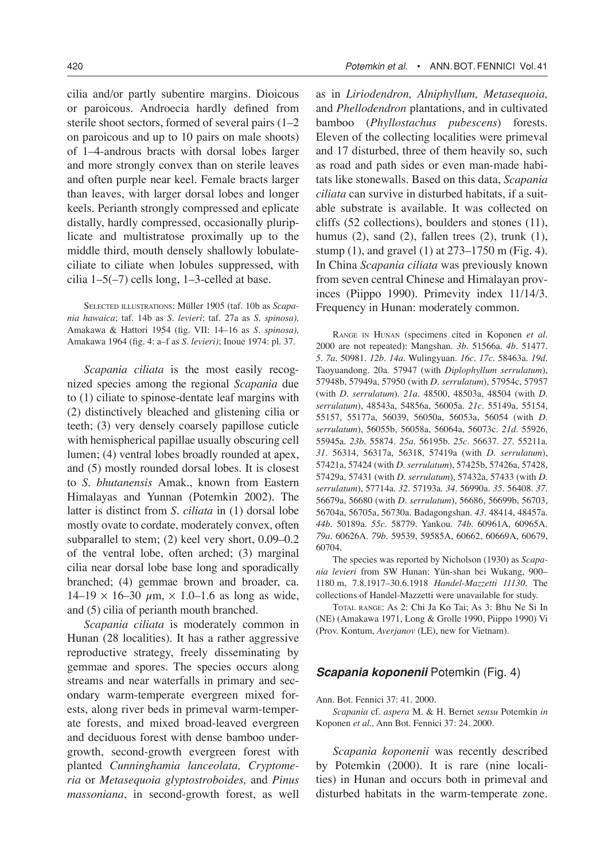cilia and/or partly subentire margins. Dioicous or paroicous. Androecia hardly defined from sterile shoot sectors, formed of several pairs (1–2 on paroicous and up to 10 pairs on male shoots) of 1–4-androus bracts with dorsal lobes larger and more strongly convex than on sterile leaves and often purple near keel. Female bracts larger than leaves, with larger dorsal lobes and longer keels. Perianth strongly compressed and eplicate distally, hardly compressed, occasionally pluriplicate and multistratose proximally up to the middle third, mouth densely shallowly lobulateciliate to ciliate when lobules suppressed, with cilia  $1-5(-7)$  cells long,  $1-3$ -celled at base.

SELECTED ILLUSTRATIONS: Müller 1905 (taf. 10b as *Scapania hawaica*; taf. 14b as *S. levieri*; taf. 27a as *S. spinosa),* Amakawa & Hattori 1954 (fig. VII: 14–16 as *S. spinosa),* Amakawa 1964 (fig. 4: a–f as *S. levieri)*; Inoue 1974: pl. 37.

*Scapania ciliata* is the most easily recognized species among the regional *Scapania* due to (1) ciliate to spinose-dentate leaf margins with (2) distinctively bleached and glistening cilia or teeth; (3) very densely coarsely papillose cuticle with hemispherical papillae usually obscuring cell lumen; (4) ventral lobes broadly rounded at apex, and (5) mostly rounded dorsal lobes. It is closest to *S. bhutanensis* Amak., known from Eastern Himalayas and Yunnan (Potemkin 2002). The latter is distinct from *S. ciliata* in (1) dorsal lobe mostly ovate to cordate, moderately convex, often subparallel to stem; (2) keel very short, 0.09–0.2 of the ventral lobe, often arched; (3) marginal cilia near dorsal lobe base long and sporadically branched; (4) gemmae brown and broader, ca.  $14-19 \times 16-30 \mu m$ ,  $\times 1.0-1.6$  as long as wide, and (5) cilia of perianth mouth branched.

*Scapania ciliata* is moderately common in Hunan (28 localities). It has a rather aggressive reproductive strategy, freely disseminating by gemmae and spores. The species occurs along streams and near waterfalls in primary and secondary warm-temperate evergreen mixed forests, along river beds in primeval warm-temperate forests, and mixed broad-leaved evergreen and deciduous forest with dense bamboo undergrowth, second-growth evergreen forest with planted *Cunninghamia lanceolata, Cryptomeria* or *Metasequoia glyptostroboides,* and *Pinus massoniana*, in second-growth forest, as well

as in *Liriodendron, Alniphyllum, Metasequoia,* and *Phellodendron* plantations, and in cultivated bamboo (*Phyllostachus pubescens*) forests. Eleven of the collecting localities were primeval and 17 disturbed, three of them heavily so, such as road and path sides or even man-made habitats like stonewalls. Based on this data, *Scapania ciliata* can survive in disturbed habitats, if a suitable substrate is available. It was collected on cliffs (52 collections), boulders and stones (11), humus  $(2)$ , sand  $(2)$ , fallen trees  $(2)$ , trunk  $(1)$ , stump (1), and gravel (1) at 273–1750 m (Fig. 4). In China *Scapania ciliata* was previously known from seven central Chinese and Himalayan provinces (Piippo 1990). Primevity index 11/14/3. Frequency in Hunan: moderately common.

RANGE IN HUNAN (specimens cited in Koponen *et al*. 2000 are not repeated): Mangshan. *3b*. 51566a. *4b.* 51477. *5. 7a.* 50981. *12b*. *14a*. Wulingyuan. *16c. 17c*. 58463a. *19d*. Taoyuandong. 20a. 57947 (with *Diplophyllum serrulatum*), 57948b, 57949a, 57950 (with *D. serrulatum*), 57954c, 57957 (with *D. serrulatum*). *21a*. 48500, 48503a, 48504 (with *D. serrulatum*), 48543a, 54856a, 56005a. *21c*. 55149a, 55154, 55157, 55177a, 56039, 56050a, 56053a, 56054 (with *D. serrulatum*), 56055b, 56058a, 56064a, 56073c. *21d*. 55926, 55945a. *23b*. 55874. *25a*. 56195b. *25c*. 56637. *27.* 55211a. *31.* 56314, 56317a, 56318, 57419a (with *D. serrulatum*), 57421a, 57424 (with *D. serrulatum*), 57425b, 57426a, 57428, 57429a, 57431 (with *D. serrulatum*), 57432a, 57433 (with *D. serrulatum*), 57714a. *32*. 57193a. *34*. 56990a. *35.* 56408. *37.* 56679a, 56680 (with *D. serrulatum*), 56686, 56699b, 56703, 56704a, 56705a, 56730a. Badagongshan. *43.* 48414, 48457a. *44b*. 50189a. *55c*. 58779. Yankou. *74b*. 60961A, 60965A. *79a*. 60626A. *79b*. 59539, 59585A, 60662, 60669A, 60679, 60704.

The species was reported by Nicholson (1930) as *Scapania levieri* from SW Hunan: Yün-shan bei Wukang, 900– 1180 m, 7.8.1917–30.6.1918 *Handel*-*Mazzetti 11130*. The collections of Handel-Mazzetti were unavailable for study.

TOTAL RANGE: As 2: Chi Ja Ko Tai; As 3: Bhu Ne Si In (NE) (Amakawa 1971, Long & Grolle 1990, Piippo 1990) Vi (Prov. Kontum, *Averjanov* (LE), new for Vietnam).

#### **Scapania koponenii** Potemkin (Fig. 4)

Ann. Bot. Fennici 37: 41. 2000.

*Scapania* cf. *aspera* M. & H. Bernet *sensu* Potemkin *in* Koponen *et al.,* Ann Bot. Fennici 37: 24. 2000.

*Scapania koponenii* was recently described by Potemkin (2000). It is rare (nine localities) in Hunan and occurs both in primeval and disturbed habitats in the warm-temperate zone.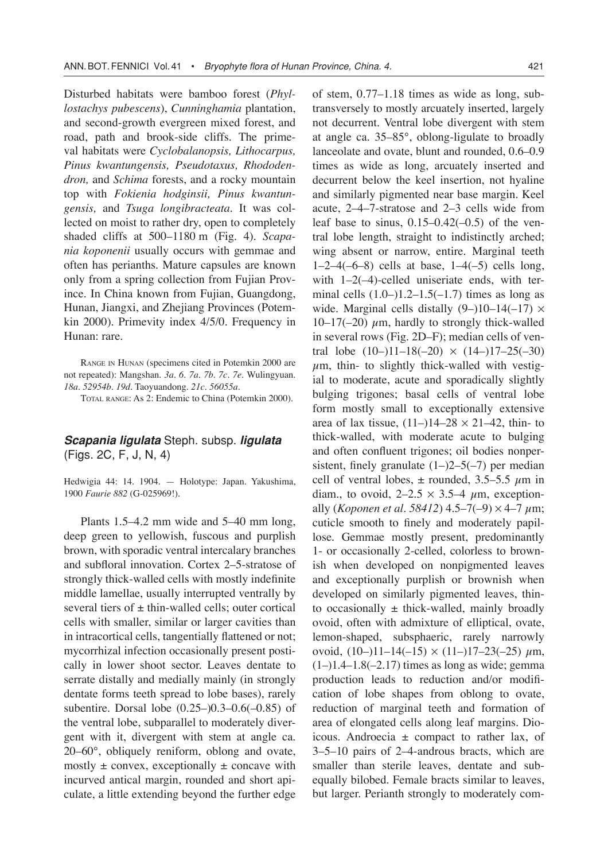Disturbed habitats were bamboo forest (*Phyllostachys pubescens*), *Cunninghamia* plantation, and second-growth evergreen mixed forest, and road, path and brook-side cliffs. The primeval habitats were *Cyclobalanopsis, Lithocarpus, Pinus kwantungensis, Pseudotaxus, Rhododendron,* and *Schima* forests, and a rocky mountain top with *Fokienia hodginsii, Pinus kwantungensis,* and *Tsuga longibracteata*. It was collected on moist to rather dry, open to completely shaded cliffs at 500–1180 m (Fig. 4). *Scapania koponenii* usually occurs with gemmae and often has perianths. Mature capsules are known only from a spring collection from Fujian Province. In China known from Fujian, Guangdong, Hunan, Jiangxi, and Zhejiang Provinces (Potemkin 2000). Primevity index 4/5/0. Frequency in Hunan: rare.

RANGE IN HUNAN (specimens cited in Potemkin 2000 are not repeated): Mangshan. *3a*. *6*. *7a. 7b. 7c. 7e*. Wulingyuan. *18a. 52954b*. *19d.* Taoyuandong. *21c. 56055a*.

TOTAL RANGE: As 2: Endemic to China (Potemkin 2000).

### **Scapania ligulata** Steph. subsp. **ligulata** (Figs. 2C, F, J, N, 4)

Hedwigia 44: 14. 1904. — Holotype: Japan. Yakushima, 1900 *Faurie 882* (G-025969!).

Plants 1.5–4.2 mm wide and 5–40 mm long, deep green to yellowish, fuscous and purplish brown, with sporadic ventral intercalary branches and subfloral innovation. Cortex 2–5-stratose of strongly thick-walled cells with mostly indefinite middle lamellae, usually interrupted ventrally by several tiers of  $\pm$  thin-walled cells; outer cortical cells with smaller, similar or larger cavities than in intracortical cells, tangentially flattened or not; mycorrhizal infection occasionally present postically in lower shoot sector. Leaves dentate to serrate distally and medially mainly (in strongly dentate forms teeth spread to lobe bases), rarely subentire. Dorsal lobe (0.25–)0.3–0.6(–0.85) of the ventral lobe, subparallel to moderately divergent with it, divergent with stem at angle ca. 20–60°, obliquely reniform, oblong and ovate, mostly  $\pm$  convex, exceptionally  $\pm$  concave with incurved antical margin, rounded and short apiculate, a little extending beyond the further edge

of stem, 0.77–1.18 times as wide as long, subtransversely to mostly arcuately inserted, largely not decurrent. Ventral lobe divergent with stem at angle ca. 35–85°, oblong-ligulate to broadly lanceolate and ovate, blunt and rounded, 0.6–0.9 times as wide as long, arcuately inserted and decurrent below the keel insertion, not hyaline and similarly pigmented near base margin. Keel acute, 2–4–7-stratose and 2–3 cells wide from leaf base to sinus,  $0.15-0.42(-0.5)$  of the ventral lobe length, straight to indistinctly arched; wing absent or narrow, entire. Marginal teeth  $1-2-4(-6-8)$  cells at base,  $1-4(-5)$  cells long, with 1–2(-4)-celled uniseriate ends, with terminal cells  $(1.0-)1.2-1.5(-1.7)$  times as long as wide. Marginal cells distally  $(9-)10-14(-17) \times$ 10–17(–20)  $\mu$ m, hardly to strongly thick-walled in several rows (Fig. 2D–F); median cells of ventral lobe  $(10-)11-18(-20) \times (14-)17-25(-30)$  $\mu$ m, thin- to slightly thick-walled with vestigial to moderate, acute and sporadically slightly bulging trigones; basal cells of ventral lobe form mostly small to exceptionally extensive area of lax tissue,  $(11-)14-28 \times 21-42$ , thin- to thick-walled, with moderate acute to bulging and often confluent trigones; oil bodies nonpersistent, finely granulate  $(1–)2–5(-7)$  per median cell of ventral lobes,  $\pm$  rounded, 3.5–5.5  $\mu$ m in diam., to ovoid,  $2-2.5 \times 3.5-4 \mu$ m, exceptionally (*Koponen et al.* 58412) 4.5–7(-9)  $\times$  4–7  $\mu$ m; cuticle smooth to finely and moderately papillose. Gemmae mostly present, predominantly 1- or occasionally 2-celled, colorless to brownish when developed on nonpigmented leaves and exceptionally purplish or brownish when developed on similarly pigmented leaves, thinto occasionally  $\pm$  thick-walled, mainly broadly ovoid, often with admixture of elliptical, ovate, lemon-shaped, subsphaeric, rarely narrowly ovoid,  $(10-)11-14(-15) \times (11-)17-23(-25) \mu m$ ,  $(1–)1.4–1.8(-2.17)$  times as long as wide; gemma production leads to reduction and/or modification of lobe shapes from oblong to ovate, reduction of marginal teeth and formation of area of elongated cells along leaf margins. Dioicous. Androecia  $\pm$  compact to rather lax, of 3–5–10 pairs of 2–4-androus bracts, which are smaller than sterile leaves, dentate and subequally bilobed. Female bracts similar to leaves, but larger. Perianth strongly to moderately com-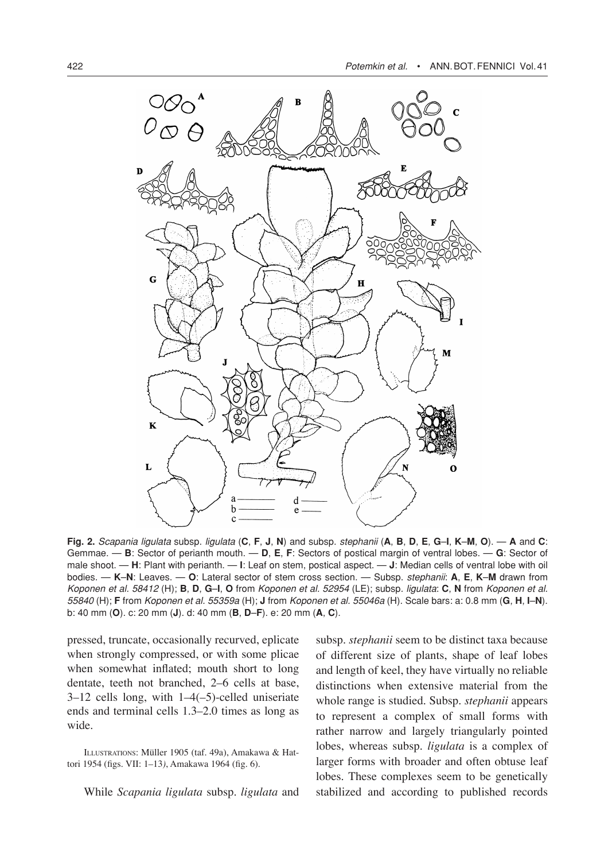

Fig. 2. Scapania ligulata subsp. ligulata (C, F, J, N) and subsp. stephanii (A, B, D, E, G-I, K-M, O). - A and C: Gemmae. — **B**: Sector of perianth mouth. — **D**, **E**, **F**: Sectors of postical margin of ventral lobes. — **G**: Sector of male shoot. — **H**: Plant with perianth. — **I**: Leaf on stem, postical aspect. — **J**: Median cells of ventral lobe with oil bodies. — **K**–**N**: Leaves. — **O**: Lateral sector of stem cross section. — Subsp. stephanii: **A**, **E**, **K**–**M** drawn from Koponen et al. 58412 (H); **B**, **D**, **G**–**I**, **O** from Koponen et al. 52954 (LE); subsp. ligulata: **C**, **N** from Koponen et al. 55840 (H); **F** from Koponen et al. 55359a (H); **J** from Koponen et al. 55046a (H). Scale bars: a: 0.8 mm (**G**, **H**, **I**–**N**). b: 40 mm (**O**). c: 20 mm (**J**). d: 40 mm (**B**, **D**–**F**). e: 20 mm (**A**, **C**).

pressed, truncate, occasionally recurved, eplicate when strongly compressed, or with some plicae when somewhat inflated; mouth short to long dentate, teeth not branched, 2–6 cells at base, 3–12 cells long, with 1–4(–5)-celled uniseriate ends and terminal cells 1.3–2.0 times as long as wide.

ILLUSTRATIONS: Müller 1905 (taf. 49a), Amakawa & Hattori 1954 (figs. VII: 1–13*)*, Amakawa 1964 (fig. 6).

While *Scapania ligulata* subsp. *ligulata* and

subsp. *stephanii* seem to be distinct taxa because of different size of plants, shape of leaf lobes and length of keel, they have virtually no reliable distinctions when extensive material from the whole range is studied. Subsp. *stephanii* appears to represent a complex of small forms with rather narrow and largely triangularly pointed lobes, whereas subsp. *ligulata* is a complex of larger forms with broader and often obtuse leaf lobes. These complexes seem to be genetically stabilized and according to published records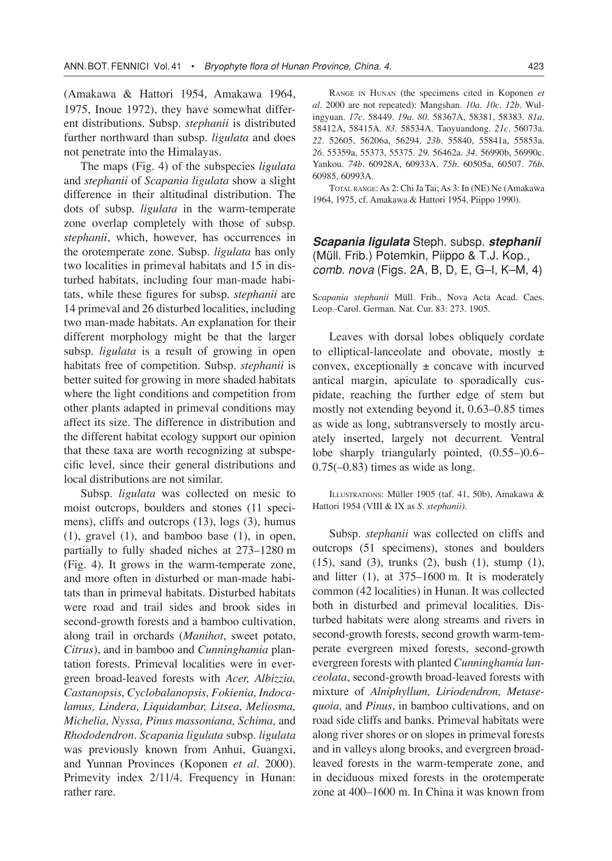(Amakawa & Hattori 1954, Amakawa 1964, 1975, Inoue 1972), they have somewhat different distributions. Subsp*. stephanii* is distributed further northward than subsp. *ligulata* and does not penetrate into the Himalayas.

The maps (Fig. 4) of the subspecies *ligulata* and *stephanii* of *Scapania ligulata* show a slight difference in their altitudinal distribution. The dots of subsp. *ligulata* in the warm-temperate zone overlap completely with those of subsp. *stephanii*, which, however, has occurrences in the orotemperate zone. Subsp. *ligulata* has only two localities in primeval habitats and 15 in disturbed habitats, including four man-made habitats, while these figures for subsp. *stephanii* are 14 primeval and 26 disturbed localities, including two man-made habitats. An explanation for their different morphology might be that the larger subsp. *ligulata* is a result of growing in open habitats free of competition. Subsp. *stephanii* is better suited for growing in more shaded habitats where the light conditions and competition from other plants adapted in primeval conditions may affect its size. The difference in distribution and the different habitat ecology support our opinion that these taxa are worth recognizing at subspecific level, since their general distributions and local distributions are not similar.

Subsp*. ligulata* was collected on mesic to moist outcrops, boulders and stones (11 specimens), cliffs and outcrops (13), logs (3), humus (1), gravel (1), and bamboo base (1), in open, partially to fully shaded niches at 273–1280 m (Fig. 4). It grows in the warm-temperate zone, and more often in disturbed or man-made habitats than in primeval habitats. Disturbed habitats were road and trail sides and brook sides in second-growth forests and a bamboo cultivation, along trail in orchards (*Manihot*, sweet potato, *Citrus*), and in bamboo and *Cunninghamia* plantation forests. Primeval localities were in evergreen broad-leaved forests with *Acer, Albizzia, Castanopsis, Cyclobalanopsis, Fokienia, Indocalamus, Lindera, Liquidambar, Litsea, Meliosma, Michelia, Nyssa, Pinus massoniana, Schima,* and *Rhododendron. Scapania ligulata* subsp. *ligulata* was previously known from Anhui, Guangxi, and Yunnan Provinces (Koponen *et al.* 2000). Primevity index 2/11/4. Frequency in Hunan: rather rare.

RANGE IN HUNAN (the specimens cited in Koponen *et al*. 2000 are not repeated): Mangshan. *10a. 10c. 12b.* Wulingyuan. *17c*. 58449. *19a. 80.* 58367A, 58381, 58383. *81a*. 58412A, 58415A. *83*. 58534A. Taoyuandong. *21c.* 56073a. *22*. 52605, 56206a, 56294. *23b.* 55840, 55841a, 55853a. *26.* 55359a, 55373, 55375. *29*. 56462a. *34*. 56990b, 56990c. Yankou. *74b*. 60928A, 60933A. *75b*. 60505a, 60507. *76b*. 60985, 60993A.

TOTAL RANGE: As 2: Chi Ja Tai; As 3: In (NE) Ne (Amakawa 1964, 1975, cf. Amakawa & Hattori 1954, Piippo 1990).

**Scapania ligulata** Steph. subsp. **stephanii** (Müll. Frib.) Potemkin, Piippo & T.J. Kop., comb. nova (Figs. 2A, B, D, E, G–I, K–M, 4)

S*capania stephanii* Müll. Frib., Nova Acta Acad. Caes. Leop.-Carol. German. Nat. Cur. 83: 273. 1905.

Leaves with dorsal lobes obliquely cordate to elliptical-lanceolate and obovate, mostly  $\pm$ convex, exceptionally  $\pm$  concave with incurved antical margin, apiculate to sporadically cuspidate, reaching the further edge of stem but mostly not extending beyond it, 0.63–0.85 times as wide as long, subtransversely to mostly arcuately inserted, largely not decurrent. Ventral lobe sharply triangularly pointed, (0.55–)0.6–  $0.75(-0.83)$  times as wide as long.

ILLUSTRATIONS: Müller 1905 (taf. 41, 50b), Amakawa & Hattori 1954 (VIII & IX as *S. stephanii)*.

Subsp. *stephanii* was collected on cliffs and outcrops (51 specimens), stones and boulders (15), sand (3), trunks (2), bush (1), stump (1), and litter (1), at 375–1600 m. It is moderately common (42 localities) in Hunan. It was collected both in disturbed and primeval localities. Disturbed habitats were along streams and rivers in second-growth forests, second growth warm-temperate evergreen mixed forests, second-growth evergreen forests with planted *Cunninghamia lanceolata*, second-growth broad-leaved forests with mixture of *Alniphyllum, Liriodendron, Metasequoia,* and *Pinus*, in bamboo cultivations, and on road side cliffs and banks. Primeval habitats were along river shores or on slopes in primeval forests and in valleys along brooks, and evergreen broadleaved forests in the warm-temperate zone, and in deciduous mixed forests in the orotemperate zone at 400–1600 m. In China it was known from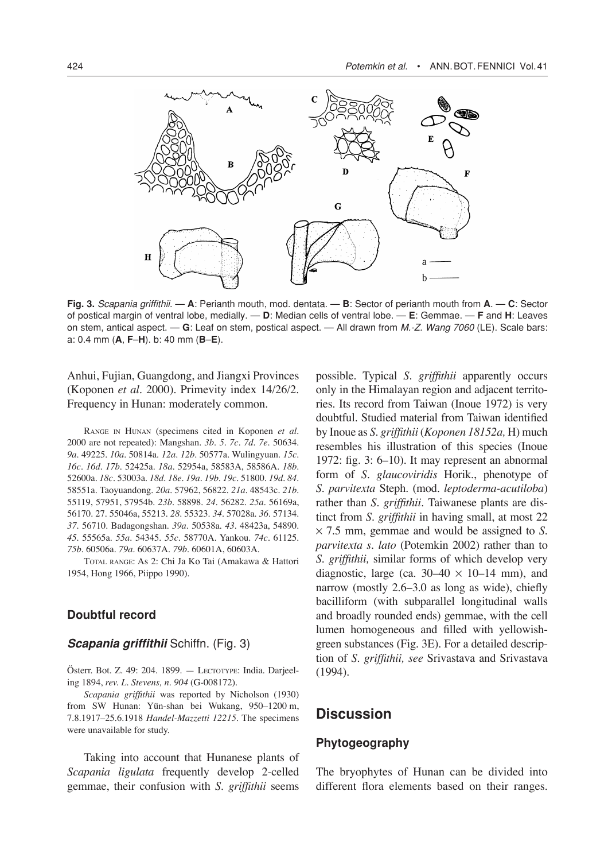

**Fig. 3.** Scapania griffithii. — **A**: Perianth mouth, mod. dentata. — **B**: Sector of perianth mouth from **A**. — **C**: Sector of postical margin of ventral lobe, medially. — **D**: Median cells of ventral lobe. — **E**: Gemmae. — **F** and **H**: Leaves on stem, antical aspect. — **G**: Leaf on stem, postical aspect. — All drawn from M.-Z. Wang 7060 (LE). Scale bars: a: 0.4 mm (**A**, **F**–**H**). b: 40 mm (**B**–**E**).

Anhui, Fujian, Guangdong, and Jiangxi Provinces (Koponen *et al.* 2000). Primevity index 14/26/2. Frequency in Hunan: moderately common.

RANGE IN HUNAN (specimens cited in Koponen *et al*. 2000 are not repeated): Mangshan. *3b. 5. 7c*. *7d. 7e.* 50634. *9a.* 49225. *10a.* 50814a. *12a. 12b.* 50577a. Wulingyuan. *15c. 16c. 16d. 17b.* 52425a. *18a.* 52954a, 58583A, 58586A. *18b.*  52600a. *18c.* 53003a. *18d*. *18e. 19a*. *19b. 19c.* 51800. *19d. 84*. 58551a. Taoyuandong. *20a.* 57962, 56822. *21a*. 48543c. *21b*. 55119, 57951, 57954b. *23b*. 58898. *24.* 56282. *25a*. 56169a, 56170. 27. 55046a, 55213. *28*. 55323. *34.* 57028a. *36.* 57134. *37.* 56710. Badagongshan. *39a*. 50538a. *43*. 48423a, 54890. *45*. 55565a. *55a*. 54345. *55c*. 58770A. Yankou. *74c.* 61125. *75b.* 60506a*. 79a.* 60637A. *79b*. 60601A, 60603A.

TOTAL RANGE: As 2: Chi Ja Ko Tai (Amakawa & Hattori 1954, Hong 1966, Piippo 1990).

#### **Doubtful record**

#### **Scapania griffithii** Schiffn. (Fig. 3)

Österr. Bot. Z. 49: 204. 1899. — LECTOTYPE: India. Darjeeling 1894, *rev. L. Stevens, n. 904* (G-008172).

*Scapania griffithii* was reported by Nicholson (1930) from SW Hunan: Yün-shan bei Wukang, 950–1200 m, 7.8.1917–25.6.1918 *Handel-Mazzetti 12215*. The specimens were unavailable for study.

Taking into account that Hunanese plants of *Scapania ligulata* frequently develop 2-celled gemmae, their confusion with *S. griffithii* seems possible. Typical *S. griffithii* apparently occurs only in the Himalayan region and adjacent territories. Its record from Taiwan (Inoue 1972) is very doubtful. Studied material from Taiwan identified by Inoue as *S. griffithii* (*Koponen 18152a,* H) much resembles his illustration of this species (Inoue 1972: fig. 3: 6–10). It may represent an abnormal form of *S. glaucoviridis* Horik., phenotype of *S. parvitexta* Steph. (mod. *leptoderma-acutiloba*) rather than *S. griffithii.* Taiwanese plants are distinct from *S. griffithii* in having small, at most 22 ¥ 7.5 mm, gemmae and would be assigned to *S. parvitexta s. lato* (Potemkin 2002) rather than to *S. griffithii,* similar forms of which develop very diagnostic, large (ca.  $30-40 \times 10-14$  mm), and narrow (mostly 2.6–3.0 as long as wide), chiefly bacilliform (with subparallel longitudinal walls and broadly rounded ends) gemmae, with the cell lumen homogeneous and filled with yellowishgreen substances (Fig. 3E). For a detailed description of *S. griffithii, see* Srivastava and Srivastava (1994).

## **Discussion**

#### **Phytogeography**

The bryophytes of Hunan can be divided into different flora elements based on their ranges.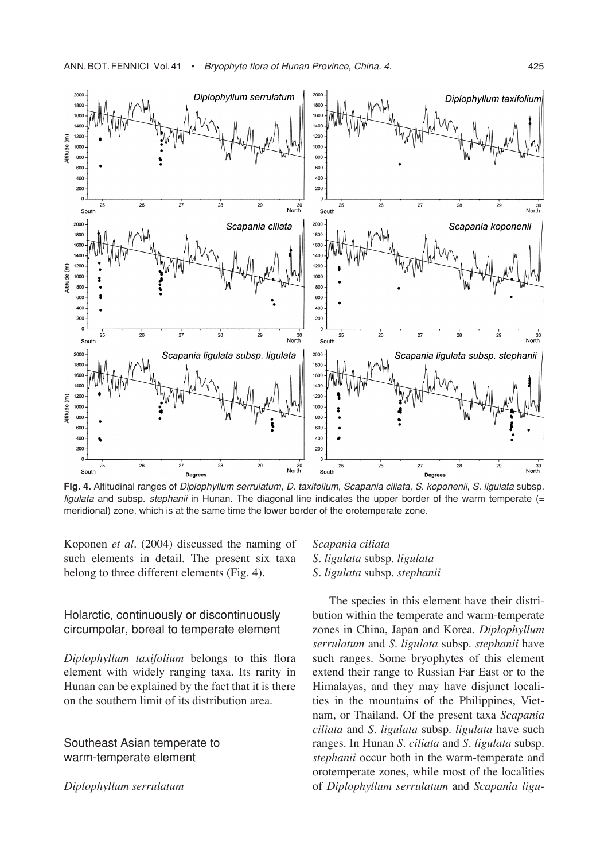

**Fig. 4.** Altitudinal ranges of Diplophyllum serrulatum, D. taxifolium, Scapania ciliata, S. koponenii, S. ligulata subsp. ligulata and subsp. stephanii in Hunan. The diagonal line indicates the upper border of the warm temperate (= meridional) zone, which is at the same time the lower border of the orotemperate zone.

Koponen *et al*. (2004) discussed the naming of such elements in detail. The present six taxa belong to three different elements (Fig. 4).

### Holarctic, continuously or discontinuously circumpolar, boreal to temperate element

*Diplophyllum taxifolium* belongs to this flora element with widely ranging taxa. Its rarity in Hunan can be explained by the fact that it is there on the southern limit of its distribution area.

Southeast Asian temperate to warm-temperate element

*Diplophyllum serrulatum*

### *Scapania ciliata S. ligulata* subsp. *ligulata S. ligulata* subsp. *stephanii*

The species in this element have their distribution within the temperate and warm-temperate zones in China, Japan and Korea. *Diplophyllum serrulatum* and *S. ligulata* subsp. *stephanii* have such ranges. Some bryophytes of this element extend their range to Russian Far East or to the Himalayas, and they may have disjunct localities in the mountains of the Philippines, Vietnam, or Thailand. Of the present taxa *Scapania ciliata* and *S. ligulata* subsp. *ligulata* have such ranges. In Hunan *S. ciliata* and *S. ligulata* subsp. *stephanii* occur both in the warm-temperate and orotemperate zones, while most of the localities of *Diplophyllum serrulatum* and *Scapania ligu-*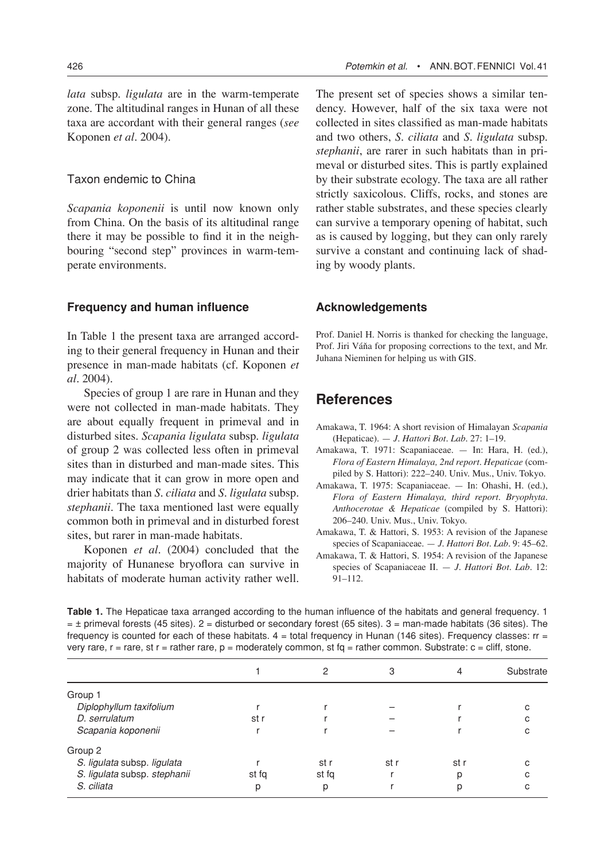*lata* subsp. *ligulata* are in the warm-temperate zone. The altitudinal ranges in Hunan of all these taxa are accordant with their general ranges (*see* Koponen *et al.* 2004).

#### Taxon endemic to China

*Scapania koponenii* is until now known only from China. On the basis of its altitudinal range there it may be possible to find it in the neighbouring "second step" provinces in warm-temperate environments.

#### **Frequency and human influence**

In Table 1 the present taxa are arranged according to their general frequency in Hunan and their presence in man-made habitats (cf. Koponen *et al.* 2004).

Species of group 1 are rare in Hunan and they were not collected in man-made habitats. They are about equally frequent in primeval and in disturbed sites. *Scapania ligulata* subsp. *ligulata* of group 2 was collected less often in primeval sites than in disturbed and man-made sites. This may indicate that it can grow in more open and drier habitats than *S. ciliata* and *S. ligulata* subsp. *stephanii*. The taxa mentioned last were equally common both in primeval and in disturbed forest sites, but rarer in man-made habitats.

Koponen *et al.* (2004) concluded that the majority of Hunanese bryoflora can survive in habitats of moderate human activity rather well.

The present set of species shows a similar tendency. However, half of the six taxa were not collected in sites classified as man-made habitats and two others, *S. ciliata* and *S. ligulata* subsp. *stephanii*, are rarer in such habitats than in primeval or disturbed sites. This is partly explained by their substrate ecology. The taxa are all rather strictly saxicolous. Cliffs, rocks, and stones are rather stable substrates, and these species clearly can survive a temporary opening of habitat, such as is caused by logging, but they can only rarely survive a constant and continuing lack of shading by woody plants.

#### **Acknowledgements**

Prof. Daniel H. Norris is thanked for checking the language, Prof. Jiri Váňa for proposing corrections to the text, and Mr. Juhana Nieminen for helping us with GIS.

# **References**

- Amakawa, T. 1964: A short revision of Himalayan *Scapania* (Hepaticae). — *J. Hattori Bot. Lab.* 27: 1–19.
- Amakawa, T. 1971: Scapaniaceae. In: Hara, H. (ed.), *Flora of Eastern Himalaya, 2nd report*. *Hepaticae* (compiled by S. Hattori): 222–240. Univ. Mus., Univ. Tokyo.
- Amakawa, T. 1975: Scapaniaceae. In: Ohashi, H. (ed.), *Flora of Eastern Himalaya, third report*. *Bryophyta. Anthocerotae & Hepaticae* (compiled by S. Hattori): 206–240. Univ. Mus., Univ. Tokyo.
- Amakawa, T. & Hattori, S. 1953: A revision of the Japanese species of Scapaniaceae. — *J. Hattori Bot. Lab.* 9: 45–62.
- Amakawa, T. & Hattori, S. 1954: A revision of the Japanese species of Scapaniaceae II. — *J. Hattori Bot. Lab.* 12: 91–112.

| <b>Table 1.</b> The Hepaticae taxa arranged according to the human influence of the habitats and general frequency. 1   |
|-------------------------------------------------------------------------------------------------------------------------|
| $=$ ± primeval forests (45 sites). 2 = disturbed or secondary forest (65 sites). 3 = man-made habitats (36 sites). The  |
| frequency is counted for each of these habitats. $4 =$ total frequency in Hunan (146 sites). Frequency classes: $rr =$  |
| very rare, r = rare, st r = rather rare, $p$ = moderately common, st fq = rather common. Substrate: $c$ = cliff, stone. |
|                                                                                                                         |

|                              |       |       | 3    |      | Substrate |
|------------------------------|-------|-------|------|------|-----------|
| Group 1                      |       |       |      |      |           |
| Diplophyllum taxifolium      |       |       |      |      | С         |
| D. serrulatum                | st r  |       |      |      | r.        |
| Scapania koponenii           |       |       |      |      |           |
| Group 2                      |       |       |      |      |           |
| S. ligulata subsp. ligulata  |       | st r  | st r | st r | r.        |
| S. ligulata subsp. stephanii | st fa | st fa |      | b    | C         |
| S. ciliata                   | р     | р     |      |      |           |